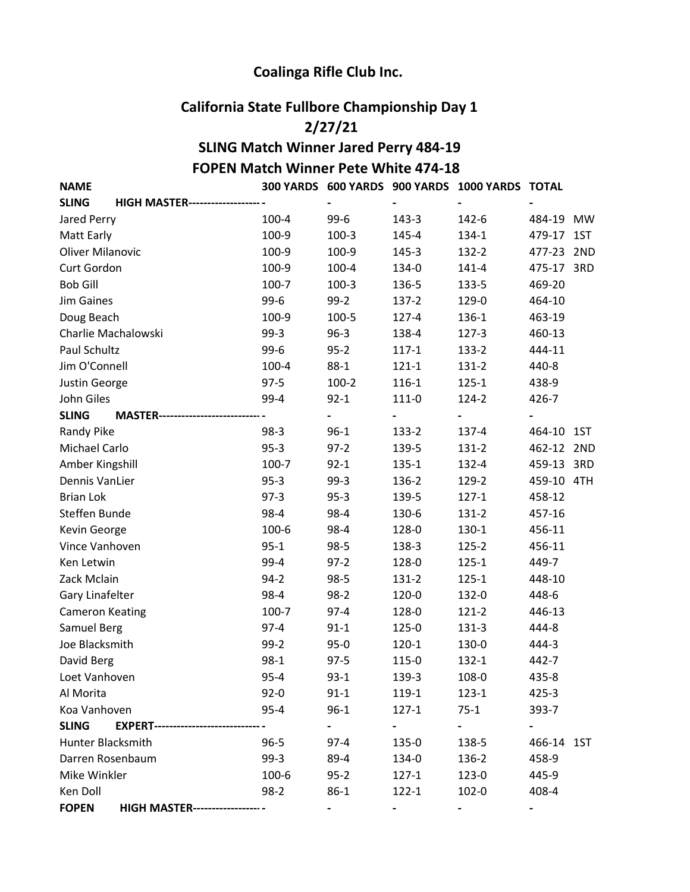## Coalinga Rifle Club Inc.

## California State Fullbore Championship Day 1

## 2/27/21

## SLING Match Winner Jared Perry 484-19 FOPEN Match Winner Pete White 474-18

NAME 300 YARDS 600 YARDS 900 YARDS 1000 YARDS TOTAL

| <b>HIGH MASTER-------------------</b><br><b>SLING</b>   |          |          |           |           |            |  |
|---------------------------------------------------------|----------|----------|-----------|-----------|------------|--|
| Jared Perry                                             | 100-4    | $99-6$   | 143-3     | 142-6     | 484-19 MW  |  |
| Matt Early                                              | 100-9    | $100-3$  | 145-4     | 134-1     | 479-17 1ST |  |
| <b>Oliver Milanovic</b>                                 | 100-9    | 100-9    | 145-3     | 132-2     | 477-23 2ND |  |
| Curt Gordon                                             | 100-9    | 100-4    | 134-0     | $141 - 4$ | 475-17 3RD |  |
| <b>Bob Gill</b>                                         | 100-7    | $100-3$  | 136-5     | 133-5     | 469-20     |  |
| <b>Jim Gaines</b>                                       | $99-6$   | $99-2$   | $137 - 2$ | 129-0     | 464-10     |  |
| Doug Beach                                              | 100-9    | 100-5    | $127 - 4$ | 136-1     | 463-19     |  |
| Charlie Machalowski                                     | $99-3$   | $96 - 3$ | 138-4     | $127 - 3$ | 460-13     |  |
| Paul Schultz                                            | $99-6$   | $95 - 2$ | $117 - 1$ | 133-2     | 444-11     |  |
| Jim O'Connell                                           | 100-4    | $88-1$   | $121 - 1$ | $131 - 2$ | 440-8      |  |
| Justin George                                           | $97 - 5$ | $100-2$  | 116-1     | $125 - 1$ | 438-9      |  |
| John Giles                                              | 99-4     | $92 - 1$ | $111-0$   | 124-2     | 426-7      |  |
| <b>SLING</b><br><b>MASTER--</b>                         |          | -        |           |           |            |  |
| <b>Randy Pike</b>                                       | $98-3$   | $96 - 1$ | 133-2     | 137-4     | 464-10 1ST |  |
| Michael Carlo                                           | $95 - 3$ | $97-2$   | 139-5     | $131-2$   | 462-12 2ND |  |
| Amber Kingshill                                         | 100-7    | $92 - 1$ | $135 - 1$ | 132-4     | 459-13 3RD |  |
| Dennis VanLier                                          | $95-3$   | $99-3$   | 136-2     | 129-2     | 459-10 4TH |  |
| <b>Brian Lok</b>                                        | $97-3$   | $95-3$   | 139-5     | $127 - 1$ | 458-12     |  |
| Steffen Bunde                                           | 98-4     | 98-4     | 130-6     | $131 - 2$ | 457-16     |  |
| Kevin George                                            | 100-6    | 98-4     | 128-0     | 130-1     | 456-11     |  |
| Vince Vanhoven                                          | $95 - 1$ | $98-5$   | 138-3     | $125 - 2$ | 456-11     |  |
| Ken Letwin                                              | 99-4     | $97-2$   | 128-0     | $125 - 1$ | 449-7      |  |
| Zack Mclain                                             | $94 - 2$ | $98-5$   | 131-2     | $125 - 1$ | 448-10     |  |
| Gary Linafelter                                         | 98-4     | $98-2$   | 120-0     | 132-0     | 448-6      |  |
| <b>Cameron Keating</b>                                  | 100-7    | $97 - 4$ | 128-0     | $121 - 2$ | 446-13     |  |
| Samuel Berg                                             | $97 - 4$ | $91 - 1$ | 125-0     | $131-3$   | 444-8      |  |
| Joe Blacksmith                                          | $99-2$   | $95 - 0$ | $120 - 1$ | 130-0     | 444-3      |  |
| David Berg                                              | $98-1$   | $97-5$   | 115-0     | $132 - 1$ | 442-7      |  |
| Loet Vanhoven                                           | $95 - 4$ | $93 - 1$ | 139-3     | 108-0     | 435-8      |  |
| Al Morita                                               | $92 - 0$ | $91 - 1$ | 119-1     | $123 - 1$ | $425 - 3$  |  |
| Koa Vanhoven                                            | $95 - 4$ | $96 - 1$ | $127 - 1$ | $75 - 1$  | 393-7      |  |
| <b>SLING</b><br><b>EXPERT--------------------------</b> |          |          |           |           |            |  |
| <b>Hunter Blacksmith</b>                                | $96 - 5$ | $97 - 4$ | 135-0     | 138-5     | 466-14 1ST |  |
| Darren Rosenbaum                                        | $99-3$   | 89-4     | 134-0     | 136-2     | 458-9      |  |
| Mike Winkler                                            | 100-6    | $95 - 2$ | $127 - 1$ | 123-0     | 445-9      |  |
| Ken Doll                                                | $98-2$   | $86 - 1$ | $122 - 1$ | 102-0     | 408-4      |  |
| <b>FOPEN</b><br><b>HIGH MASTER--------------------</b>  |          |          |           |           | Ξ.         |  |